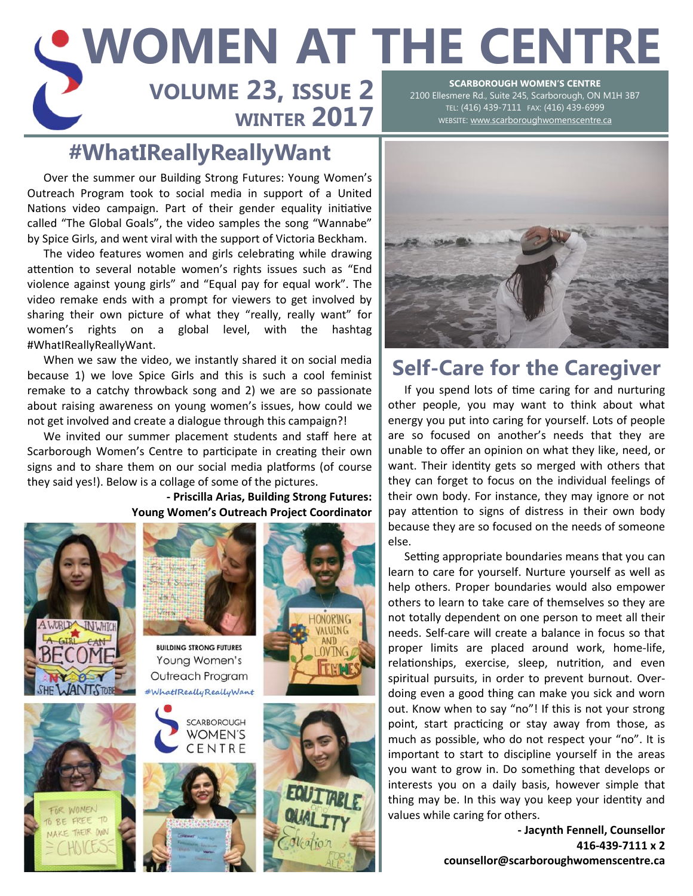### **WINTER 2017 VOLUME 23, ISSUE 2 WOMEN AT THE CENTRE SCARBOROUGH WOMEN'S CENTRE**  2100 Ellesmere Rd., Suite 245, Scarborough, ON M1H 3B7 TEL: (416) 439-7111 FAX: (416) 439-6999

### **#WhatIReallyReallyWant**

Over the summer our Building Strong Futures: Young Women's Outreach Program took to social media in support of a United Nations video campaign. Part of their gender equality initiative called "The Global Goals", the video samples the song "Wannabe" by Spice Girls, and went viral with the support of Victoria Beckham.

The video features women and girls celebrating while drawing attention to several notable women's rights issues such as "End violence against young girls" and "Equal pay for equal work". The video remake ends with a prompt for viewers to get involved by sharing their own picture of what they "really, really want" for women's rights on a global level, with the hashtag #WhatIReallyReallyWant.

When we saw the video, we instantly shared it on social media because 1) we love Spice Girls and this is such a cool feminist remake to a catchy throwback song and 2) we are so passionate about raising awareness on young women's issues, how could we not get involved and create a dialogue through this campaign?!

We invited our summer placement students and staff here at Scarborough Women's Centre to participate in creating their own signs and to share them on our social media platforms (of course they said yes!). Below is a collage of some of the pictures.

> **- Priscilla Arias, Building Strong Futures: Young Women's Outreach Project Coordinator**









**BUILDING STRONG FUTURES** Young Women's Outreach Program #WhatIReallyReallyWant







WEBSITE: [www.scarboroughwomenscentre.ca](http://www.scarboroughwomenscentre.ca)



### **Self-Care for the Caregiver**

If you spend lots of time caring for and nurturing other people, you may want to think about what energy you put into caring for yourself. Lots of people are so focused on another's needs that they are unable to offer an opinion on what they like, need, or want. Their identity gets so merged with others that they can forget to focus on the individual feelings of their own body. For instance, they may ignore or not pay attention to signs of distress in their own body because they are so focused on the needs of someone else.

Setting appropriate boundaries means that you can learn to care for yourself. Nurture yourself as well as help others. Proper boundaries would also empower others to learn to take care of themselves so they are not totally dependent on one person to meet all their needs. Self-care will create a balance in focus so that proper limits are placed around work, home-life, relationships, exercise, sleep, nutrition, and even spiritual pursuits, in order to prevent burnout. Overdoing even a good thing can make you sick and worn out. Know when to say "no"! If this is not your strong point, start practicing or stay away from those, as much as possible, who do not respect your "no". It is important to start to discipline yourself in the areas you want to grow in. Do something that develops or interests you on a daily basis, however simple that thing may be. In this way you keep your identity and values while caring for others.

> **- Jacynth Fennell, Counsellor 416-439-7111 x 2 counsellor@scarboroughwomenscentre.ca**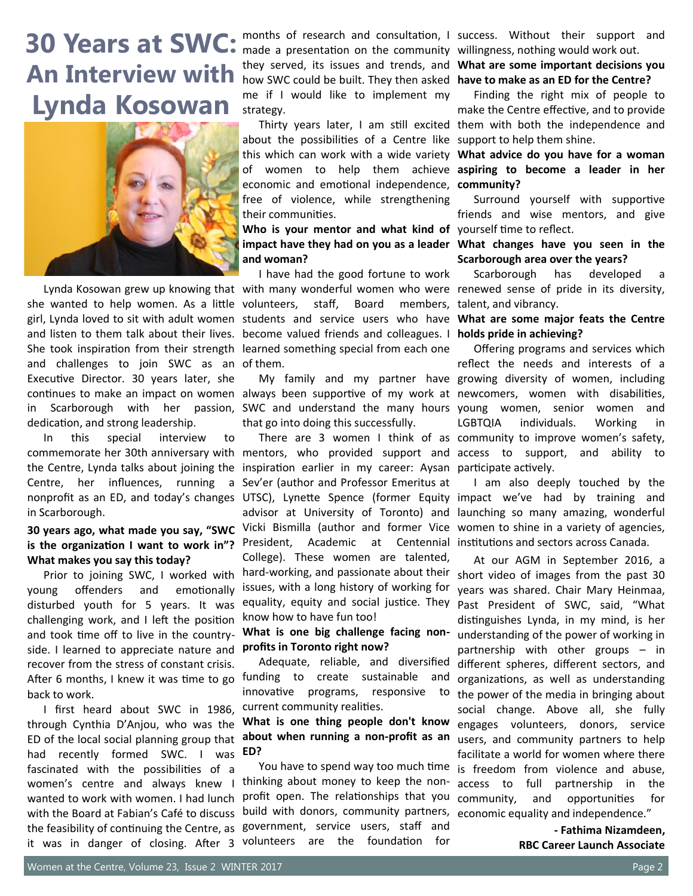# **30 Years at SWC: Lynda Kosowan**



she wanted to help women. As a little volunteers, and challenges to join SWC as an of them. Executive Director. 30 years later, she dedication, and strong leadership.

In this special interview to Centre, her influences, running in Scarborough.

### **30 years ago, what made you say, "SWC is the organization I want to work in"? What makes you say this today?**

Prior to joining SWC, I worked with young offenders and emotionally disturbed youth for 5 years. It was challenging work, and I left the position and took time off to live in the countryside. I learned to appreciate nature and **profits in Toronto right now?** recover from the stress of constant crisis. After 6 months, I knew it was time to go funding to create sustainable and back to work.

I first heard about SWC in 1986, through Cynthia D'Anjou, who was the ED of the local social planning group that had recently formed SWC. I was fascinated with the possibilities of a women's centre and always knew I wanted to work with women. I had lunch with the Board at Fabian's Café to discuss the feasibility of continuing the Centre, as it was in danger of closing. After 3

months of research and consultation, I success. Without their support and made a presentation on the community willingness, nothing would work out. they served, its issues and trends, and how SWC could be built. They then asked me if I would like to implement my strategy. An Interview with they served, its issues and trends, and What are some important decisions y

> about the possibilities of a Centre like support to help them shine. this which can work with a wide variety **What advice do you have for a woman**  economic and emotional independence, **community?** free of violence, while strengthening their communities.

### Who is your mentor and what kind of yourself time to reflect. **and woman?**

Lynda Kosowan grew up knowing that with many wonderful women who were renewed sense of pride in its diversity, girl, Lynda loved to sit with adult women students and service users who have What are some major feats the Centre and listen to them talk about their lives. become valued friends and colleagues. I **holds pride in achieving?**  She took inspiration from their strength learned something special from each one I have had the good fortune to work volunteers, staff, Board members, talent, and vibrancy.

that go into doing this successfully.

commemorate her 30th anniversary with mentors, who provided support and access to support, and ability to the Centre, Lynda talks about joining the inspiration earlier in my career: Aysan participate actively. nonprofit as an ED, and today's changes UTSC), Lynette Spence (former Equity impact we've had by training and a Sev'er (author and Professor Emeritus at President, Academic at Centennial institutions and sectors across Canada. College). These women are talented, hard-working, and passionate about their short video of images from the past 30 issues, with a long history of working for years was shared. Chair Mary Heinmaa, equality, equity and social justice. They Past President of SWC, said, "What know how to have fun too!

### **What is one big challenge facing non-**

Adequate, reliable, and diversified innovative programs, responsive to current community realities.

### **What is one thing people don't know about when running a non-profit as an ED?**

thinking about money to keep the nonprofit open. The relationships that you build with donors, community partners, government, service users, staff and volunteers are the foundation for

### **What are some important decisions you**

Thirty years later, I am still excited them with both the independence and Finding the right mix of people to make the Centre effective, and to provide

of women to help them achieve **aspiring to become a leader in her** 

Surround yourself with supportive friends and wise mentors, and give

**impact have they had on you as a leader What changes have you seen in the Scarborough area over the years?** 

Scarborough has developed a

continues to make an impact on women always been supportive of my work at newcomers, women with disabilities, in Scarborough with her passion, SWC and understand the many hours young women, senior women and My family and my partner have growing diversity of women, including There are 3 women I think of as community to improve women's safety, Offering programs and services which reflect the needs and interests of a LGBTQIA individuals. Working in

> advisor at University of Toronto) and launching so many amazing, wonderful Vicki Bismilla (author and former Vice women to shine in a variety of agencies, I am also deeply touched by the

You have to spend way too much time is freedom from violence and abuse, At our AGM in September 2016, a distinguishes Lynda, in my mind, is her understanding of the power of working in partnership with other groups – in different spheres, different sectors, and organizations, as well as understanding the power of the media in bringing about social change. Above all, she fully engages volunteers, donors, service users, and community partners to help facilitate a world for women where there access to full partnership in the community, and opportunities for economic equality and independence."

> **- Fathima Nizamdeen, RBC Career Launch Associate**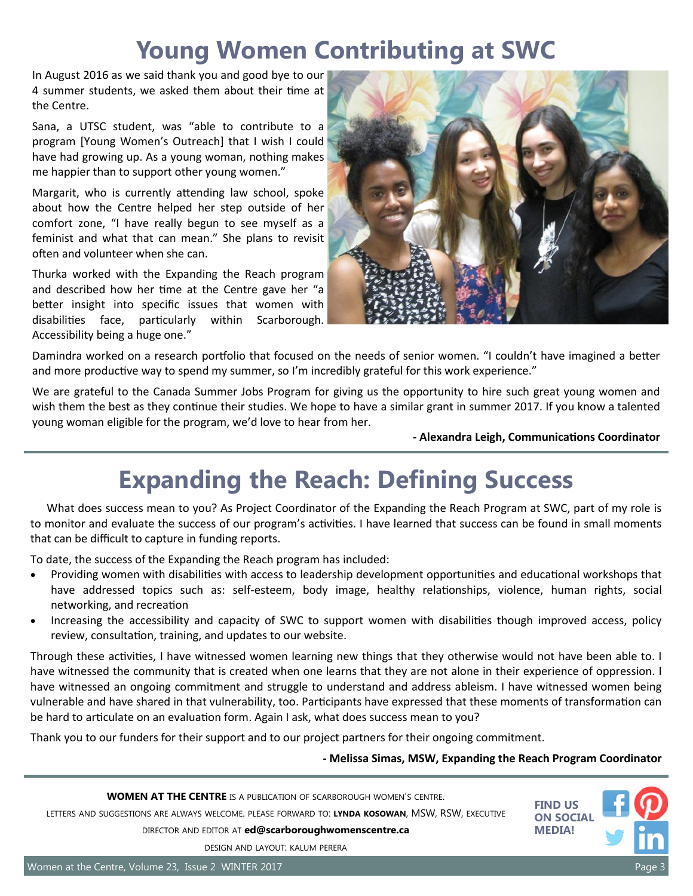### **Young Women Contributing at SWC**

In August 2016 as we said thank you and good bye to our 4 summer students, we asked them about their time at the Centre.

Sana, a UTSC student, was "able to contribute to a program [Young Women's Outreach] that I wish I could have had growing up. As a young woman, nothing makes me happier than to support other young women."

Margarit, who is currently attending law school, spoke about how the Centre helped her step outside of her comfort zone, "I have really begun to see myself as a feminist and what that can mean." She plans to revisit often and volunteer when she can.

Thurka worked with the Expanding the Reach program and described how her time at the Centre gave her "a better insight into specific issues that women with disabilities face, particularly within Scarborough. Accessibility being a huge one."



Damindra worked on a research portfolio that focused on the needs of senior women. "I couldn't have imagined a better and more productive way to spend my summer, so I'm incredibly grateful for this work experience."

We are grateful to the Canada Summer Jobs Program for giving us the opportunity to hire such great young women and wish them the best as they continue their studies. We hope to have a similar grant in summer 2017. If you know a talented young woman eligible for the program, we'd love to hear from her.

**- Alexandra Leigh, Communications Coordinator** 

## **Expanding the Reach: Defining Success**

What does success mean to you? As Project Coordinator of the Expanding the Reach Program at SWC, part of my role is to monitor and evaluate the success of our program's activities. I have learned that success can be found in small moments that can be difficult to capture in funding reports.

To date, the success of the Expanding the Reach program has included:

- Providing women with disabilities with access to leadership development opportunities and educational workshops that have addressed topics such as: self-esteem, body image, healthy relationships, violence, human rights, social networking, and recreation
- Increasing the accessibility and capacity of SWC to support women with disabilities though improved access, policy review, consultation, training, and updates to our website.

Through these activities, I have witnessed women learning new things that they otherwise would not have been able to. I have witnessed the community that is created when one learns that they are not alone in their experience of oppression. I have witnessed an ongoing commitment and struggle to understand and address ableism. I have witnessed women being vulnerable and have shared in that vulnerability, too. Participants have expressed that these moments of transformation can be hard to articulate on an evaluation form. Again I ask, what does success mean to you?

Thank you to our funders for their support and to our project partners for their ongoing commitment.

**- Melissa Simas, MSW, Expanding the Reach Program Coordinator**